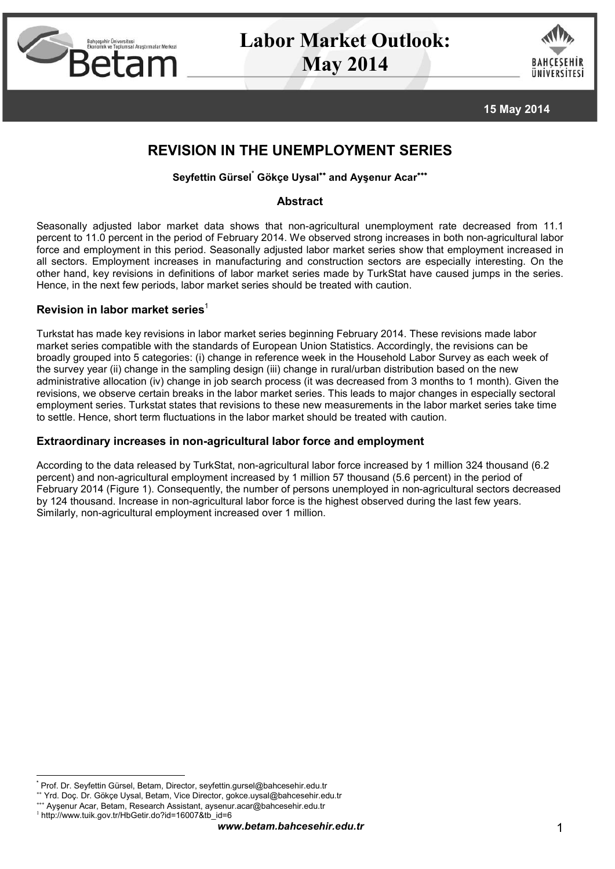

# **Labor Market Outlook: May 2014**



**15 May 2014**

# **REVISION IN THE UNEMPLOYMENT SERIES**

# **Seyfettin Gürsel\* Gökçe Uysal and Ayşenur Acar**

## **Abstract**

Seasonally adjusted labor market data shows that non-agricultural unemployment rate decreased from 11.1 percent to 11.0 percent in the period of February 2014. We observed strong increases in both non-agricultural labor force and employment in this period. Seasonally adjusted labor market series show that employment increased in all sectors. Employment increases in manufacturing and construction sectors are especially interesting. On the other hand, key revisions in definitions of labor market series made by TurkStat have caused jumps in the series. Hence, in the next few periods, labor market series should be treated with caution.

# **Revision in labor market series**<sup>1</sup>

Turkstat has made key revisions in labor market series beginning February 2014. These revisions made labor market series compatible with the standards of European Union Statistics. Accordingly, the revisions can be broadly grouped into 5 categories: (i) change in reference week in the Household Labor Survey as each week of the survey year (ii) change in the sampling design (iii) change in rural/urban distribution based on the new administrative allocation (iv) change in job search process (it was decreased from 3 months to 1 month). Given the revisions, we observe certain breaks in the labor market series. This leads to major changes in especially sectoral employment series. Turkstat states that revisions to these new measurements in the labor market series take time to settle. Hence, short term fluctuations in the labor market should be treated with caution.

# **Extraordinary increases in non-agricultural labor force and employment**

According to the data released by TurkStat, non-agricultural labor force increased by 1 million 324 thousand (6.2 percent) and non-agricultural employment increased by 1 million 57 thousand (5.6 percent) in the period of February 2014 (Figure 1). Consequently, the number of persons unemployed in non-agricultural sectors decreased by 124 thousand. Increase in non-agricultural labor force is the highest observed during the last few years. Similarly, non-agricultural employment increased over 1 million.

**<sup>\*</sup>** Prof. Dr. Seyfettin Gürsel, Betam, Director, seyfettin.gursel@bahcesehir.edu.tr

Yrd. Doç. Dr. Gökçe Uysal, Betam, Vice Director, gokce.uysal@bahcesehir.edu.tr

Ayşenur Acar, Betam, Research Assistant, aysenur.acar@bahcesehir.edu.tr

<sup>1</sup> http://www.tuik.gov.tr/HbGetir.do?id=16007&tb\_id=6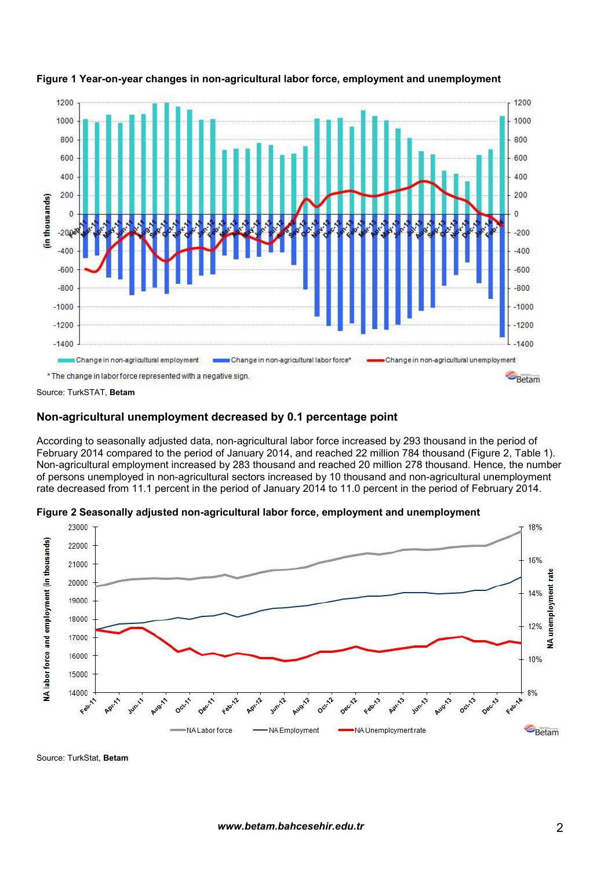

#### **Figure 1 Year-on-year changes in non-agricultural labor force, employment and unemployment**

Source: TurkSTAT, **Betam**

### **Non-agricultural unemployment decreased by 0.1 percentage point**

According to seasonally adjusted data, non-agricultural labor force increased by 293 thousand in the period of February 2014 compared to the period of January 2014, and reached 22 million 784 thousand (Figure 2, Table 1). Non-agricultural employment increased by 283 thousand and reached 20 million 278 thousand. Hence, the number of persons unemployed in non-agricultural sectors increased by 10 thousand and non-agricultural unemployment rate decreased from 11.1 percent in the period of January 2014 to 11.0 percent in the period of February 2014.



**Figure 2 Seasonally adjusted non-agricultural labor force, employment and unemployment**

Source: TurkStat, **Betam**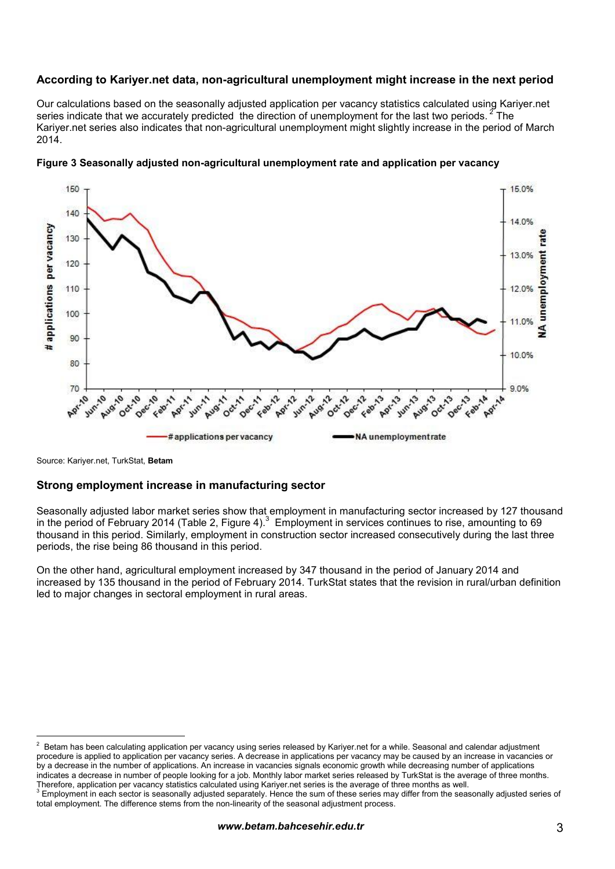# **According to Kariyer.net data, non-agricultural unemployment might increase in the next period**

Our calculations based on the seasonally adjusted application per vacancy statistics calculated using Kariyer.net series indicate that we accurately predicted the direction of unemployment for the last two periods. <sup>2</sup> The Kariyer.net series also indicates that non-agricultural unemployment might slightly increase in the period of March 2014.



#### **Figure 3 Seasonally adjusted non-agricultural unemployment rate and application per vacancy**

Source: Kariyer.net, TurkStat, **Betam**

#### **Strong employment increase in manufacturing sector**

Seasonally adjusted labor market series show that employment in manufacturing sector increased by 127 thousand in the period of February 2014 (Table 2, Figure 4).<sup>3</sup> Employment in services continues to rise, amounting to 69 thousand in this period. Similarly, employment in construction sector increased consecutively during the last three periods, the rise being 86 thousand in this period.

On the other hand, agricultural employment increased by 347 thousand in the period of January 2014 and increased by 135 thousand in the period of February 2014. TurkStat states that the revision in rural/urban definition led to major changes in sectoral employment in rural areas.

<sup>2</sup> Betam has been calculating application per vacancy using series released by Kariyer.net for a while. Seasonal and calendar adjustment procedure is applied to application per vacancy series. A decrease in applications per vacancy may be caused by an increase in vacancies or by a decrease in the number of applications. An increase in vacancies signals economic growth while decreasing number of applications indicates a decrease in number of people looking for a job. Monthly labor market series released by TurkStat is the average of three months.<br>Therefore, application per vacancy statistics calculated using Kariyer net series

<sup>&</sup>lt;sup>3</sup> Employment in each sector is seasonally adjusted separately. Hence the sum of these series may differ from the seasonally adjusted series of total employment. The difference stems from the non-linearity of the seasonal adjustment process.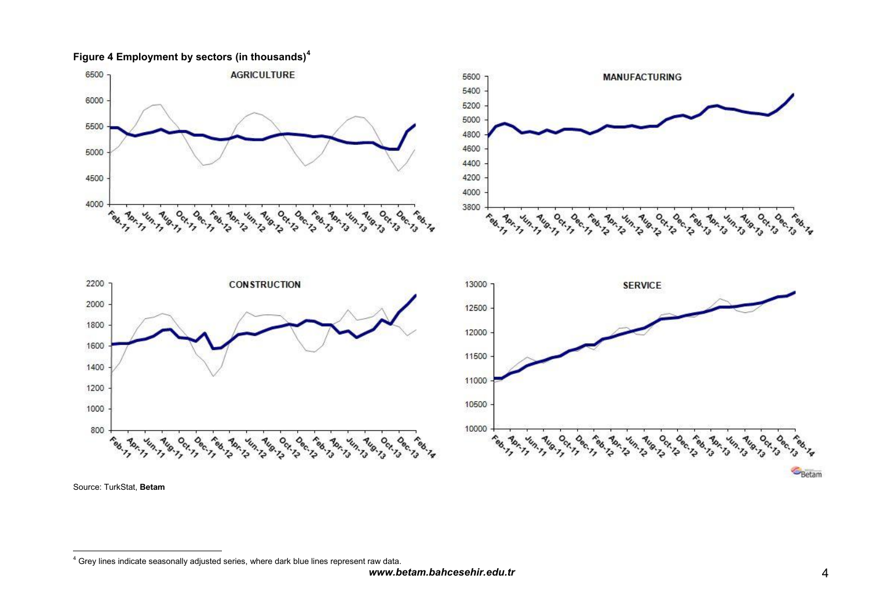**Figure 4 Employment by sectors (in thousands)<sup>4</sup>**



Source: TurkStat, **Betam**

Betam

<sup>4</sup> Grey lines indicate seasonally adjusted series, where dark blue lines represent raw data.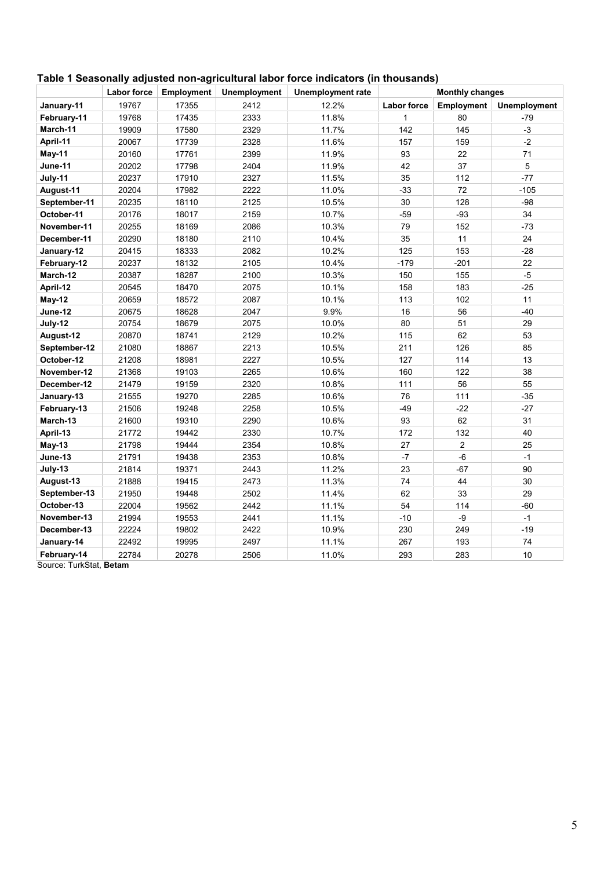|              | <b>Labor force</b> | <b>Employment</b> | <b>Unemployment</b> | <b>Unemployment rate</b> | <b>Monthly changes</b> |                |              |  |
|--------------|--------------------|-------------------|---------------------|--------------------------|------------------------|----------------|--------------|--|
| January-11   | 19767              | 17355             | 2412                | 12.2%                    | <b>Labor force</b>     | Employment     | Unemployment |  |
| February-11  | 19768              | 17435             | 2333                | 11.8%                    | 1                      | 80             | $-79$        |  |
| March-11     | 19909              | 17580             | 2329                | 11.7%                    | 142                    | 145            | $-3$         |  |
| April-11     | 20067              | 17739             | 2328                | 11.6%                    | 157                    | 159            | $-2$         |  |
| May-11       | 20160              | 17761             | 2399                | 11.9%                    | 93                     | 22             | 71           |  |
| June-11      | 20202              | 17798             | 2404                | 11.9%                    | 42                     | 37             | 5            |  |
| July-11      | 20237              | 17910             | 2327                | 11.5%                    | 35                     | 112            | $-77$        |  |
| August-11    | 20204              | 17982             | 2222                | 11.0%                    | $-33$                  | 72             | $-105$       |  |
| September-11 | 20235              | 18110             | 2125                | 10.5%                    | 30                     | 128            | $-98$        |  |
| October-11   | 20176              | 18017             | 2159                | 10.7%                    | $-59$                  | $-93$          | 34           |  |
| November-11  | 20255              | 18169             | 2086                | 10.3%                    | 79                     | 152            | $-73$        |  |
| December-11  | 20290              | 18180             | 2110                | 10.4%                    | 35                     | 11             | 24           |  |
| January-12   | 20415              | 18333             | 2082                | 10.2%                    | 125                    | 153            | $-28$        |  |
| February-12  | 20237              | 18132             | 2105                | 10.4%                    | $-179$                 | $-201$         | 22           |  |
| March-12     | 20387              | 18287             | 2100                | 10.3%                    | 150                    | 155            | $-5$         |  |
| April-12     | 20545              | 18470             | 2075                | 10.1%                    | 158                    | 183            | $-25$        |  |
| May-12       | 20659              | 18572             | 2087                | 10.1%                    | 113                    | 102            | 11           |  |
| June-12      | 20675              | 18628             | 2047                | 9.9%                     | 16                     | 56             | $-40$        |  |
| July-12      | 20754              | 18679             | 2075                | 10.0%                    | 80                     | 51             | 29           |  |
| August-12    | 20870              | 18741             | 2129                | 10.2%                    | 115                    | 62             | 53           |  |
| September-12 | 21080              | 18867             | 2213                | 10.5%                    | 211                    | 126            | 85           |  |
| October-12   | 21208              | 18981             | 2227                | 10.5%                    | 127                    | 114            | 13           |  |
| November-12  | 21368              | 19103             | 2265                | 10.6%                    | 160                    | 122            | 38           |  |
| December-12  | 21479              | 19159             | 2320                | 10.8%                    | 111                    | 56             | 55           |  |
| January-13   | 21555              | 19270             | 2285                | 10.6%                    | 76                     | 111            | $-35$        |  |
| February-13  | 21506              | 19248             | 2258                | 10.5%                    | $-49$                  | $-22$          | $-27$        |  |
| March-13     | 21600              | 19310             | 2290                | 10.6%                    | 93                     | 62             | 31           |  |
| April-13     | 21772              | 19442             | 2330                | 10.7%                    | 172                    | 132            | 40           |  |
| $May-13$     | 21798              | 19444             | 2354                | 10.8%                    | 27                     | $\overline{c}$ | 25           |  |
| June-13      | 21791              | 19438             | 2353                | 10.8%                    | $-7$                   | $-6$           | $-1$         |  |
| July-13      | 21814              | 19371             | 2443                | 11.2%                    | 23                     | $-67$          | 90           |  |
| August-13    | 21888              | 19415             | 2473                | 11.3%                    | 74                     | 44             | 30           |  |
| September-13 | 21950              | 19448             | 2502                | 62<br>11.4%              |                        | 33             | 29           |  |
| October-13   | 22004              | 19562             | 2442                | 11.1%                    | 54                     | 114            | $-60$        |  |
| November-13  | 21994              | 19553             | 2441                | $-10$<br>11.1%           |                        | $-9$           | $-1$         |  |
| December-13  | 22224              | 19802             | 2422                | 10.9%                    | 230                    | 249            | $-19$        |  |
| January-14   | 22492              | 19995             | 2497                | 11.1%                    | 267                    | 193            | 74           |  |
| February-14  | 22784              | 20278             | 2506                | 11.0%                    | 293                    | 283            | 10           |  |

# **Table 1 Seasonally adjusted non-agricultural labor force indicators (in thousands)**

Source: TurkStat, **Betam**